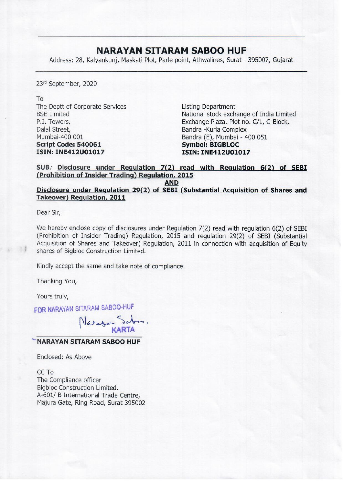## NARAYAN SITARAM SABOO HUF

**NARAYAN SITAR**<br>Address: 28, Kalyankunj, Maskati Plot, Parle Address: 28, Kalyankunj, Maskati Plot, Parle point, Athwalines, Surat - 395007, Gujarat

23" September, 2020

To The Deptt of Corporate Services Listing Department Dalal Street, **Bandra -Kurla Complex** Mumbai-400 001 **Bandra (E), Mumbai - 400 051** Script Code: 540061 Symbol: BIGBLOC ISIN: INE412U01017 ISIN: INE412U01017

BSE Limited National stock exchange of India Limited P.J. Towers, **Exchange Plaza, Plot no. C/1, G Block,** 

## SUB. Disclosure under Regulation 7(2) read with Regulation 6(2) of SEBI (Prohibition of Insider Trading) Regulation, 2015

AND

Disclosure under Regulation 29(2) of SEBI (Substantial Acquisition of Shares and Takeover) Regulation, 2011

Dear Sir,

We hereby enclose copy of disclosures under Regulation 7(2) read with regulation 6(2) of SEBI (Prohibition of Insider Trading) Regulation, 2015 and regulation 29(2) of SEBI (Substantial Acquisition of Shares and Takeover) Regulation, 2011 in connection with acquisition of Equity shares of Bigbloc Construction Limited.

Kindly accept the same and take note of compliance.

Thanking You,

Yours truly,

FOR NARAYAN SITARAM SABOO-HUF

 $N$ aram sabuu-nu KARTA

## "NARAYAN SITARAM SABOO HUF

Enclosed: As Above

CC To The Compliance officer Bigbloc Construction Limited. A-601/ B International Trade Centre, Majura Gate, Ring Road, Surat 395002